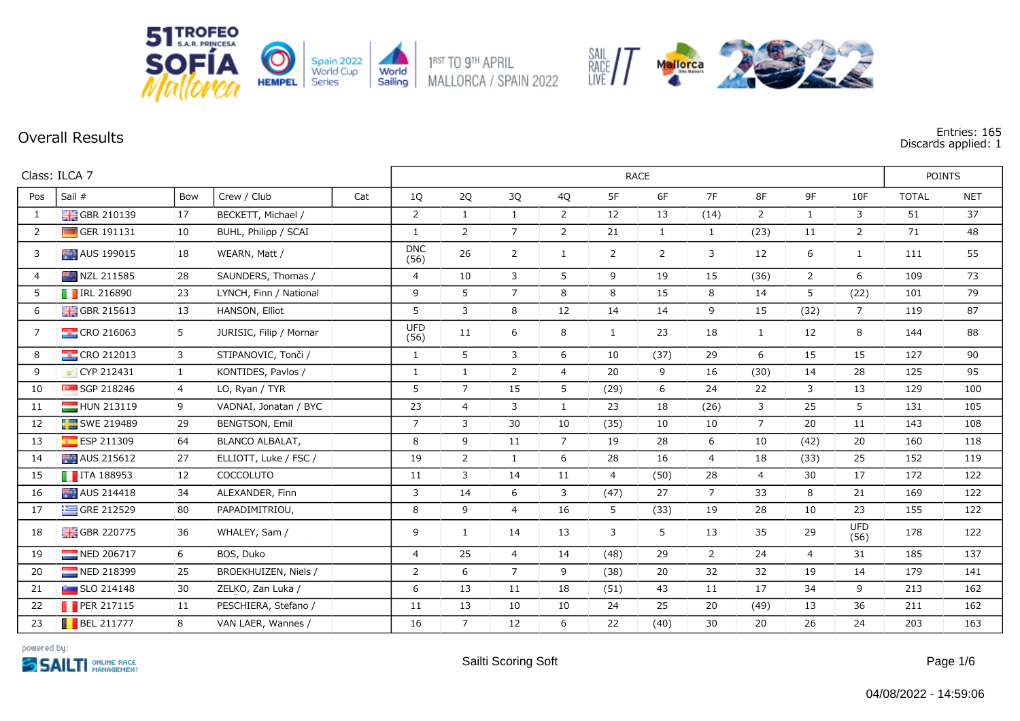

**Overall Results Entries: 165 Discards applied: 1**

|                | Class: ILCA 7             | <b>RACE</b>    |                         |     |                    |                |                |                |                |                |                |                | <b>POINTS</b>  |                    |              |            |
|----------------|---------------------------|----------------|-------------------------|-----|--------------------|----------------|----------------|----------------|----------------|----------------|----------------|----------------|----------------|--------------------|--------------|------------|
| Pos            | Sail #                    | Bow            | Crew / Club             | Cat | 1Q                 | 2Q             | 3Q             | 4Q             | 5F             | 6F             | 7F             | 8F             | 9F             | 10F                | <b>TOTAL</b> | <b>NET</b> |
| $\mathbf{1}$   | <b>H</b> GBR 210139       | 17             | BECKETT, Michael /      |     | $\overline{2}$     | $\mathbf{1}$   | $\mathbf{1}$   | $\overline{2}$ | 12             | 13             | (14)           | 2              | $\mathbf{1}$   | $\mathbf{3}$       | 51           | 37         |
| $\overline{2}$ | GER 191131                | 10             | BUHL, Philipp / SCAI    |     | $\mathbf{1}$       | $\overline{2}$ | $\overline{7}$ | $\overline{2}$ | 21             | $\mathbf{1}$   | $\mathbf{1}$   | (23)           | 11             | $\overline{2}$     | 71           | 48         |
| 3              | AUS 199015                | 18             | WEARN, Matt /           |     | <b>DNC</b><br>(56) | 26             | $\overline{2}$ | $\mathbf{1}$   | 2              | $\overline{2}$ | 3              | 12             | 6              | $\mathbf{1}$       | 111          | 55         |
| $\overline{4}$ | NZL 211585                | 28             | SAUNDERS, Thomas /      |     | $\overline{4}$     | 10             | 3              | 5              | 9              | 19             | 15             | (36)           | $\overline{2}$ | 6                  | 109          | 73         |
| 5              | <b>T</b> IRL 216890       | 23             | LYNCH, Finn / National  |     | 9                  | 5              | $\overline{7}$ | 8              | 8              | 15             | 8              | 14             | 5              | (22)               | 101          | 79         |
| 6              | <b>H</b> GBR 215613       | 13             | HANSON, Elliot          |     | 5                  | 3              | 8              | 12             | 14             | 14             | 9              | 15             | (32)           | $7^{\circ}$        | 119          | 87         |
| $\overline{7}$ | <b>CRO 216063</b>         | 5              | JURIŠIĆ, Filip / Mornar |     | <b>UFD</b><br>(56) | 11             | 6              | 8              | $\mathbf{1}$   | 23             | 18             | $\mathbf{1}$   | 12             | 8                  | 144          | 88         |
| 8              | <b>CRO 212013</b>         | $\mathbf{3}$   | STIPANOVIC, Tonči /     |     | $\mathbf{1}$       | 5              | 3              | 6              | 10             | (37)           | 29             | 6              | 15             | 15                 | 127          | 90         |
| 9              | CYP 212431                | $\mathbf{1}$   | KONTIDES, Pavlos /      |     | $\mathbf{1}$       | $\mathbf{1}$   | $\overline{2}$ | $\overline{4}$ | 20             | 9              | 16             | (30)           | 14             | 28                 | 125          | 95         |
| 10             | SGP 218246                | $\overline{4}$ | LO, Ryan / TYR          |     | 5                  | $\overline{7}$ | 15             | 5              | (29)           | 6              | 24             | 22             | 3              | 13                 | 129          | 100        |
| 11             | HUN 213119                | 9              | VADNAI, Jonatan / BYC   |     | 23                 | $\overline{4}$ | 3              | $\mathbf{1}$   | 23             | 18             | (26)           | 3              | 25             | 5                  | 131          | 105        |
| 12             | SWE 219489                | 29             | BENGTSON, Emil          |     | $\overline{7}$     | 3              | 30             | 10             | (35)           | 10             | 10             | $\overline{7}$ | 20             | $11\,$             | 143          | 108        |
| 13             | ESP 211309                | 64             | BLANCO ALBALAT,         |     | 8                  | 9              | 11             | $\overline{7}$ | 19             | 28             | 6              | 10             | (42)           | 20                 | 160          | 118        |
| 14             | AUS 215612                | 27             | ELLIOTT, Luke / FSC /   |     | 19                 | $\overline{2}$ | 1              | 6              | 28             | 16             | $\overline{4}$ | 18             | (33)           | 25                 | 152          | 119        |
| 15             | $\blacksquare$ ITA 188953 | 12             | <b>COCCOLUTO</b>        |     | 11                 | $\mathbf{3}$   | 14             | 11             | $\overline{4}$ | (50)           | 28             | $\overline{4}$ | 30             | 17                 | 172          | 122        |
| 16             | AUS 214418                | 34             | ALEXANDER, Finn         |     | 3                  | 14             | 6              | 3              | (47)           | 27             | $\overline{7}$ | 33             | 8              | 21                 | 169          | 122        |
| 17             | $\equiv$ GRE 212529       | 80             | PAPADIMITRIOU,          |     | 8                  | 9              | $\overline{4}$ | 16             | 5              | (33)           | 19             | 28             | 10             | 23                 | 155          | 122        |
| 18             | <b>H</b> GBR 220775       | 36             | WHALEY, Sam /           |     | 9                  | $\mathbf{1}$   | 14             | 13             | 3              | 5              | 13             | 35             | 29             | <b>UFD</b><br>(56) | 178          | 122        |
| 19             | NED 206717                | 6              | BOS, Duko               |     | $\overline{4}$     | 25             | $\overline{4}$ | 14             | (48)           | 29             | $\overline{2}$ | 24             | $\overline{4}$ | 31                 | 185          | 137        |
| 20             | NED 218399                | 25             | BROEKHUIZEN, Niels /    |     | $\overline{2}$     | 6              | $\overline{7}$ | 9              | (38)           | 20             | 32             | 32             | 19             | 14                 | 179          | 141        |
| 21             | SLO 214148                | 30             | ZELKO, Zan Luka /       |     | 6                  | 13             | 11             | 18             | (51)           | 43             | 11             | 17             | 34             | 9                  | 213          | 162        |
| 22             | $\blacksquare$ PER 217115 | 11             | PESCHIERA, Stefano /    |     | 11                 | 13             | 10             | 10             | 24             | 25             | 20             | (49)           | 13             | 36                 | 211          | 162        |
| 23             | $\blacksquare$ BEL 211777 | 8              | VAN LAER, Wannes /      |     | 16                 | $\overline{7}$ | 12             | 6              | 22             | (40)           | 30             | 20             | 26             | 24                 | 203          | 163        |

SAIL<br>RACE / /

Mallorca

powered by: **SSAILTI ONLINE RACE**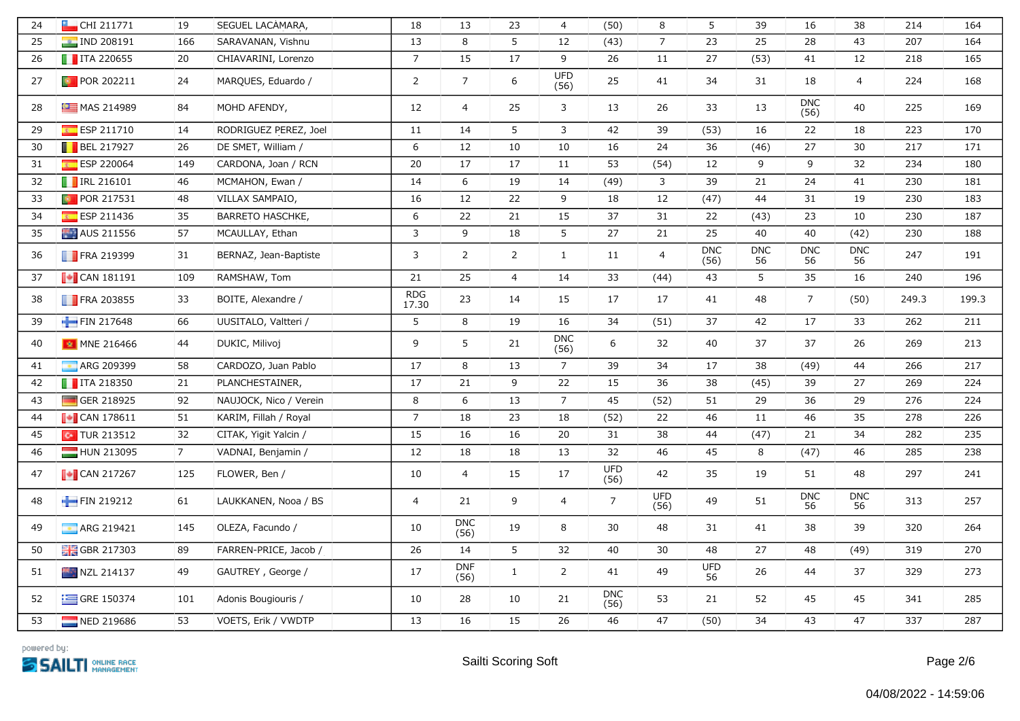| 24 | CHI 211771                      | 19             | SEGUEL LACAMARA,       | 18                  | 13                 | 23             | $\overline{4}$     | (50)               | 8                  | 5                  | 39               | 16                 | 38               | 214   | 164   |
|----|---------------------------------|----------------|------------------------|---------------------|--------------------|----------------|--------------------|--------------------|--------------------|--------------------|------------------|--------------------|------------------|-------|-------|
| 25 | <b>P</b> IND 208191             | 166            | SARAVANAN, Vishnu      | 13                  | 8                  | 5              | 12                 | (43)               | $\overline{7}$     | 23                 | 25               | 28                 | 43               | 207   | 164   |
| 26 | $\blacksquare$ ITA 220655       | 20             | CHIAVARINI, Lorenzo    | $\overline{7}$      | 15                 | 17             | 9                  | 26                 | 11                 | 27                 | (53)             | 41                 | 12               | 218   | 165   |
| 27 | <b>D</b> POR 202211             | 24             | MARQUES, Eduardo /     | $\overline{2}$      | $7\overline{ }$    | 6              | <b>UFD</b><br>(56) | 25                 | 41                 | 34                 | 31               | 18                 | $\overline{4}$   | 224   | 168   |
| 28 | MAS 214989                      | 84             | MOHD AFENDY,           | 12                  | $\overline{4}$     | 25             | 3                  | 13                 | 26                 | 33                 | 13               | <b>DNC</b><br>(56) | 40               | 225   | 169   |
| 29 | ESP 211710                      | 14             | RODRIGUEZ PEREZ, Joel  | 11                  | 14                 | 5              | $\mathbf{3}$       | 42                 | 39                 | (53)               | 16               | 22                 | 18               | 223   | 170   |
| 30 | <b>BEL 217927</b>               | 26             | DE SMET, William /     | 6                   | 12                 | 10             | 10                 | 16                 | 24                 | 36                 | (46)             | 27                 | 30               | 217   | 171   |
| 31 | ESP 220064                      | 149            | CARDONA, Joan / RCN    | 20                  | 17                 | 17             | 11                 | 53                 | (54)               | 12                 | 9                | 9                  | 32               | 234   | 180   |
| 32 | <b>FIRL 216101</b>              | 46             | MCMAHON, Ewan /        | 14                  | 6                  | 19             | 14                 | (49)               | 3                  | 39                 | 21               | 24                 | 41               | 230   | 181   |
| 33 | <b>D</b> POR 217531             | 48             | VILLAX SAMPAIO,        | 16                  | 12                 | 22             | 9                  | 18                 | 12                 | (47)               | 44               | 31                 | 19               | 230   | 183   |
| 34 | ESP 211436                      | 35             | BARRETO HASCHKE,       | 6                   | 22                 | 21             | 15                 | 37                 | 31                 | 22                 | (43)             | 23                 | 10               | 230   | 187   |
| 35 | AUS 211556                      | 57             | MCAULLAY, Ethan        | 3                   | 9                  | 18             | 5                  | 27                 | 21                 | 25                 | 40               | 40                 | (42)             | 230   | 188   |
| 36 | <b>FRA 219399</b>               | 31             | BERNAZ, Jean-Baptiste  | $\mathbf{3}$        | $\overline{2}$     | $\overline{2}$ | $\mathbf{1}$       | 11                 | $\overline{4}$     | <b>DNC</b><br>(56) | <b>DNC</b><br>56 | <b>DNC</b><br>56   | <b>DNC</b><br>56 | 247   | 191   |
| 37 | $\sqrt{\phantom{a}}$ CAN 181191 | 109            | RAMSHAW, Tom           | 21                  | 25                 | $\overline{4}$ | 14                 | 33                 | (44)               | 43                 | 5                | 35                 | 16               | 240   | 196   |
| 38 | <b>FRA 203855</b>               | 33             | BOITE, Alexandre /     | <b>RDG</b><br>17.30 | 23                 | 14             | 15                 | 17                 | 17                 | 41                 | 48               | $\overline{7}$     | (50)             | 249.3 | 199.3 |
| 39 | FIN 217648                      | 66             | UUSITALO, Valtteri /   | $5\overline{)}$     | 8                  | 19             | 16                 | 34                 | (51)               | 37                 | 42               | 17                 | 33               | 262   | 211   |
| 40 | MNE 216466                      | 44             | DUKIC, Milivoj         | 9                   | 5                  | 21             | <b>DNC</b><br>(56) | 6                  | 32                 | 40                 | 37               | 37                 | 26               | 269   | 213   |
| 41 | <b>ARG 209399</b>               | 58             | CARDOZO, Juan Pablo    | 17                  | 8                  | 13             | $\overline{7}$     | 39                 | 34                 | 17                 | 38               | (49)               | 44               | 266   | 217   |
| 42 | $\blacksquare$ ITA 218350       | 21             | PLANCHESTAINER,        | 17                  | 21                 | 9              | 22                 | 15                 | 36                 | 38                 | (45)             | 39                 | 27               | 269   | 224   |
| 43 | GER 218925                      | 92             | NAUJOCK, Nico / Verein | 8                   | 6                  | 13             | $\overline{7}$     | 45                 | (52)               | 51                 | 29               | 36                 | 29               | 276   | 224   |
| 44 | $\sqrt{\phantom{a}}$ CAN 178611 | 51             | KARIM, Fillah / Royal  | $\overline{7}$      | 18                 | 23             | 18                 | (52)               | 22                 | 46                 | 11               | 46                 | 35               | 278   | 226   |
| 45 | $\sim$ TUR 213512               | 32             | CITAK, Yigit Yalcin /  | 15                  | 16                 | 16             | 20                 | 31                 | 38                 | 44                 | (47)             | 21                 | 34               | 282   | 235   |
| 46 | HUN 213095                      | 7 <sup>7</sup> | VADNAI, Benjamin /     | 12                  | 18                 | 18             | 13                 | 32                 | 46                 | 45                 | 8                | (47)               | 46               | 285   | 238   |
| 47 | $\sim$ CAN 217267               | 125            | FLOWER, Ben /          | 10                  | $\overline{4}$     | 15             | 17                 | <b>UFD</b><br>(56) | 42                 | 35                 | 19               | 51                 | 48               | 297   | 241   |
| 48 | FIN 219212                      | 61             | LAUKKANEN, Nooa / BS   | $\overline{4}$      | 21                 | 9              | $\overline{4}$     | $\overline{7}$     | <b>UFD</b><br>(56) | 49                 | 51               | DNC<br>56          | <b>DNC</b><br>56 | 313   | 257   |
| 49 | <b>ARG 219421</b>               | 145            | OLEZA, Facundo /       | 10                  | <b>DNC</b><br>(56) | 19             | 8                  | 30                 | 48                 | 31                 | 41               | 38                 | 39               | 320   | 264   |
| 50 | <b>H</b> GBR 217303             | 89             | FARREN-PRICE, Jacob /  | 26                  | 14                 | 5              | 32                 | 40                 | 30                 | 48                 | 27               | 48                 | (49)             | 319   | 270   |
| 51 | <b>NZL 214137</b>               | 49             | GAUTREY, George /      | 17                  | <b>DNF</b><br>(56) | $\mathbf{1}$   | $\overline{2}$     | 41                 | 49                 | <b>UFD</b><br>56   | 26               | 44                 | 37               | 329   | 273   |
| 52 | $\equiv$ GRE 150374             | 101            | Adonis Bougiouris /    | 10                  | 28                 | 10             | 21                 | <b>DNC</b><br>(56) | 53                 | 21                 | 52               | 45                 | 45               | 341   | 285   |
| 53 | NED 219686                      | 53             | VOETS, Erik / VWDTP    | 13                  | 16                 | 15             | 26                 | 46                 | 47                 | (50)               | 34               | 43                 | 47               | 337   | 287   |

powered by: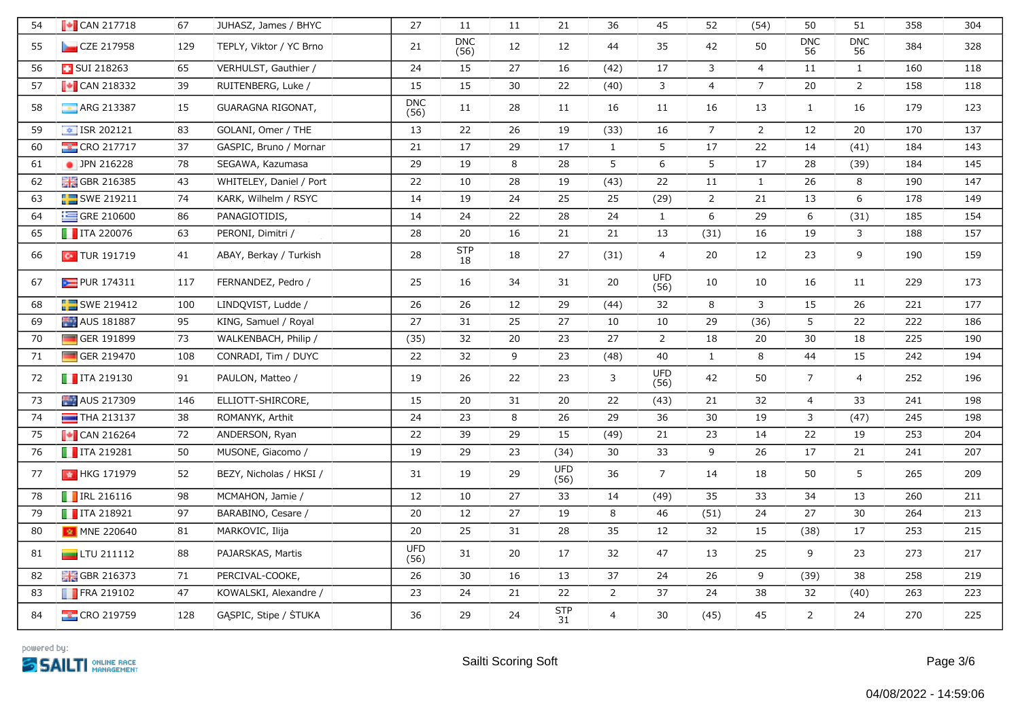| 54 | $\sqrt{\phantom{a}}$ CAN 217718 | 67  | JUHASZ, James / BHYC    | 27                 | 11                 | 11 | 21                 | 36             | 45                 | 52             | (54)           | 50               | 51               | 358 | 304 |
|----|---------------------------------|-----|-------------------------|--------------------|--------------------|----|--------------------|----------------|--------------------|----------------|----------------|------------------|------------------|-----|-----|
| 55 | CZE 217958                      | 129 | TEPLY, Viktor / YC Brno | 21                 | <b>DNC</b><br>(56) | 12 | 12                 | 44             | 35                 | 42             | 50             | <b>DNC</b><br>56 | <b>DNC</b><br>56 | 384 | 328 |
| 56 | <b>BUI 218263</b>               | 65  | VERHULST, Gauthier /    | 24                 | 15                 | 27 | 16                 | (42)           | 17                 | 3              | $\overline{4}$ | 11               | $\mathbf{1}$     | 160 | 118 |
| 57 | $\blacksquare$ CAN 218332       | 39  | RUITENBERG, Luke /      | 15                 | 15                 | 30 | 22                 | (40)           | 3                  | $\overline{4}$ | $\overline{7}$ | 20               | $\overline{2}$   | 158 | 118 |
| 58 | ARG 213387                      | 15  | GUARAGNA RIGONAT,       | <b>DNC</b><br>(56) | 11                 | 28 | 11                 | 16             | 11                 | 16             | 13             | $\mathbf{1}$     | 16               | 179 | 123 |
| 59 | $\boxed{\div}$ ISR 202121       | 83  | GOLANI, Omer / THE      | 13                 | 22                 | 26 | 19                 | (33)           | 16                 | $\overline{7}$ | $\overline{2}$ | 12               | 20               | 170 | 137 |
| 60 | <b>EXCRO 217717</b>             | 37  | GASPIC, Bruno / Mornar  | 21                 | 17                 | 29 | 17                 | 1              | 5                  | 17             | 22             | 14               | (41)             | 184 | 143 |
| 61 | • JPN 216228                    | 78  | SEGAWA, Kazumasa        | 29                 | 19                 | 8  | 28                 | 5              | 6                  | 5              | 17             | 28               | (39)             | 184 | 145 |
| 62 | <b>H</b> GBR 216385             | 43  | WHITELEY, Daniel / Port | 22                 | 10                 | 28 | 19                 | (43)           | 22                 | 11             | $\mathbf{1}$   | 26               | 8                | 190 | 147 |
| 63 | SWE 219211                      | 74  | KARK, Wilhelm / RSYC    | 14                 | 19                 | 24 | 25                 | 25             | (29)               | $\overline{2}$ | 21             | 13               | 6                | 178 | 149 |
| 64 | GRE 210600                      | 86  | PANAGIOTIDIS,           | 14                 | 24                 | 22 | 28                 | 24             | $\mathbf{1}$       | 6              | 29             | 6                | (31)             | 185 | 154 |
| 65 | $\blacksquare$ ITA 220076       | 63  | PERONI, Dimitri /       | 28                 | 20                 | 16 | 21                 | 21             | 13                 | (31)           | 16             | 19               | 3                | 188 | 157 |
| 66 | $\sim$ TUR 191719               | 41  | ABAY, Berkay / Turkish  | 28                 | <b>STP</b><br>18   | 18 | 27                 | (31)           | $\overline{4}$     | 20             | 12             | 23               | 9                | 190 | 159 |
| 67 | PUR 174311                      | 117 | FERNANDEZ, Pedro /      | 25                 | 16                 | 34 | 31                 | 20             | <b>UFD</b><br>(56) | 10             | 10             | 16               | 11               | 229 | 173 |
| 68 | SWE 219412                      | 100 | LINDQVIST, Ludde /      | 26                 | 26                 | 12 | 29                 | (44)           | 32                 | 8              | 3              | 15               | 26               | 221 | 177 |
| 69 | AUS 181887                      | 95  | KING, Samuel / Royal    | 27                 | 31                 | 25 | 27                 | 10             | 10                 | 29             | (36)           | 5                | 22               | 222 | 186 |
| 70 | GER 191899                      | 73  | WALKENBACH, Philip /    | (35)               | 32                 | 20 | 23                 | 27             | $\overline{2}$     | 18             | 20             | 30               | 18               | 225 | 190 |
| 71 | GER 219470                      | 108 | CONRADI, Tim / DUYC     | 22                 | 32                 | 9  | 23                 | (48)           | 40                 | $\mathbf{1}$   | 8              | 44               | 15               | 242 | 194 |
| 72 | $\blacksquare$ ITA 219130       | 91  | PAULON, Matteo /        | 19                 | 26                 | 22 | 23                 | 3              | <b>UFD</b><br>(56) | 42             | 50             | $\overline{7}$   | $\overline{4}$   | 252 | 196 |
| 73 | AUS 217309                      | 146 | ELLIOTT-SHIRCORE,       | 15                 | 20                 | 31 | 20                 | 22             | (43)               | 21             | 32             | $\overline{4}$   | 33               | 241 | 198 |
| 74 | $\blacksquare$ THA 213137       | 38  | ROMANYK, Arthit         | 24                 | 23                 | 8  | 26                 | 29             | 36                 | 30             | 19             | 3                | (47)             | 245 | 198 |
| 75 | $\sim$ CAN 216264               | 72  | ANDERSON, Ryan          | 22                 | 39                 | 29 | 15                 | (49)           | 21                 | 23             | 14             | 22               | 19               | 253 | 204 |
| 76 | $\blacksquare$ ITA 219281       | 50  | MUSONE, Giacomo /       | 19                 | 29                 | 23 | (34)               | 30             | 33                 | 9              | 26             | 17               | 21               | 241 | 207 |
| 77 | ★ HKG 171979                    | 52  | BEZY, Nicholas / HKSI / | 31                 | 19                 | 29 | <b>UFD</b><br>(56) | 36             | $7\overline{ }$    | 14             | 18             | 50               | 5                | 265 | 209 |
| 78 | <b>TRL 216116</b>               | 98  | MCMAHON, Jamie /        | 12                 | 10                 | 27 | 33                 | 14             | (49)               | 35             | 33             | 34               | 13               | 260 | 211 |
| 79 | $\blacksquare$ ITA 218921       | 97  | BARABINO, Cesare /      | 20                 | 12                 | 27 | 19                 | 8              | 46                 | (51)           | 24             | 27               | 30               | 264 | 213 |
| 80 | MNE 220640                      | 81  | MARKOVIC, Ilija         | 20                 | 25                 | 31 | 28                 | 35             | 12                 | 32             | 15             | (38)             | 17               | 253 | 215 |
| 81 | $\Box$ LTU 211112               | 88  | PAJARSKAS, Martis       | <b>UFD</b><br>(56) | 31                 | 20 | 17                 | 32             | 47                 | 13             | 25             | 9                | 23               | 273 | 217 |
| 82 | <b>H</b> GBR 216373             | 71  | PERCIVAL-COOKE,         | 26                 | $30\,$             | 16 | 13                 | 37             | 24                 | 26             | 9              | (39)             | 38               | 258 | 219 |
| 83 | FRA 219102                      | 47  | KOWALSKI, Alexandre /   | 23                 | 24                 | 21 | 22                 | $\overline{2}$ | 37                 | 24             | 38             | 32               | (40)             | 263 | 223 |
| 84 | <b>EXECRO 219759</b>            | 128 | GASPIC, Stipe / STUKA   | 36                 | 29                 | 24 | <b>STP</b><br>31   | 4              | 30                 | (45)           | 45             | $\overline{2}$   | 24               | 270 | 225 |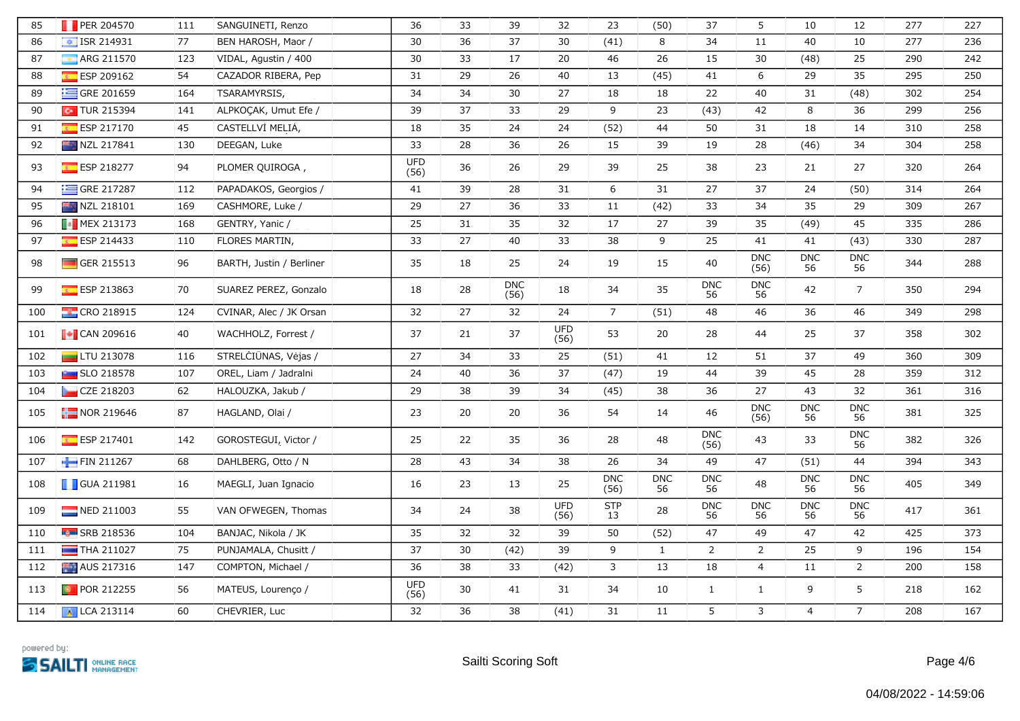| 85  | PER 204570                | 111 | SANGUINETI, Renzo        | 36                 | 33     | 39                 | 32                 | 23                 | (50)             | 37                 | 5                  | 10               | 12               | 277 | 227 |
|-----|---------------------------|-----|--------------------------|--------------------|--------|--------------------|--------------------|--------------------|------------------|--------------------|--------------------|------------------|------------------|-----|-----|
| 86  | $\boxed{\div}$ ISR 214931 | 77  | BEN HAROSH, Maor /       | 30                 | 36     | 37                 | 30                 | (41)               | 8                | 34                 | 11                 | 40               | $10\,$           | 277 | 236 |
| 87  | ARG 211570                | 123 | VIDAL, Agustin / 400     | 30                 | 33     | 17                 | 20                 | 46                 | 26               | 15                 | 30                 | (48)             | 25               | 290 | 242 |
| 88  | ESP 209162                | 54  | CAZADOR RIBERA, Pep      | 31                 | 29     | 26                 | 40                 | 13                 | (45)             | 41                 | 6                  | 29               | 35               | 295 | 250 |
| 89  | GRE 201659                | 164 | TSARAMYRSIS,             | 34                 | 34     | 30                 | 27                 | 18                 | 18               | 22                 | 40                 | 31               | (48)             | 302 | 254 |
| 90  | $\sim$ TUR 215394         | 141 | ALPKOÇAK, Umut Efe /     | 39                 | 37     | 33                 | 29                 | 9                  | 23               | (43)               | 42                 | 8                | 36               | 299 | 256 |
| 91  | ESP 217170                | 45  | CASTELLVÍ MELIA,         | 18                 | 35     | 24                 | 24                 | (52)               | 44               | 50                 | 31                 | 18               | 14               | 310 | 258 |
| 92  | NZL 217841                | 130 | DEEGAN, Luke             | 33                 | 28     | 36                 | 26                 | 15                 | 39               | 19                 | 28                 | (46)             | 34               | 304 | 258 |
| 93  | ESP 218277                | 94  | PLOMER QUIROGA,          | <b>UFD</b><br>(56) | 36     | 26                 | 29                 | 39                 | 25               | 38                 | 23                 | 21               | 27               | 320 | 264 |
| 94  | GRE 217287                | 112 | PAPADAKOS, Georgios /    | 41                 | 39     | 28                 | 31                 | 6                  | 31               | 27                 | 37                 | 24               | (50)             | 314 | 264 |
| 95  | NZL 218101                | 169 | CASHMORE, Luke /         | 29                 | 27     | 36                 | 33                 | 11                 | (42)             | 33                 | 34                 | 35               | 29               | 309 | 267 |
| 96  | <b>B</b> MEX 213173       | 168 | GENTRY, Yanic /          | 25                 | 31     | 35                 | 32                 | 17                 | 27               | 39                 | 35                 | (49)             | 45               | 335 | 286 |
| 97  | ESP 214433                | 110 | FLORES MARTIN,           | 33                 | 27     | 40                 | 33                 | 38                 | 9                | 25                 | 41                 | 41               | (43)             | 330 | 287 |
| 98  | GER 215513                | 96  | BARTH, Justin / Berliner | 35                 | 18     | 25                 | 24                 | 19                 | 15               | 40                 | <b>DNC</b><br>(56) | <b>DNC</b><br>56 | <b>DNC</b><br>56 | 344 | 288 |
| 99  | $E$ ESP 213863            | 70  | SUAREZ PEREZ, Gonzalo    | 18                 | 28     | <b>DNC</b><br>(56) | 18                 | 34                 | 35               | <b>DNC</b><br>56   | <b>DNC</b><br>56   | 42               | $7\overline{ }$  | 350 | 294 |
| 100 | <b>CRO 218915</b>         | 124 | CVINAR, Alec / JK Orsan  | 32                 | 27     | 32                 | 24                 | $7\overline{ }$    | (51)             | 48                 | 46                 | 36               | 46               | 349 | 298 |
| 101 | $\bullet$ CAN 209616      | 40  | WACHHOLZ, Forrest /      | 37                 | 21     | 37                 | <b>UFD</b><br>(56) | 53                 | 20               | 28                 | 44                 | 25               | 37               | 358 | 302 |
| 102 | $LTU$ 213078              | 116 | STRELCIUNAS, Vėjas /     | 27                 | 34     | 33                 | 25                 | (51)               | 41               | 12                 | 51                 | 37               | 49               | 360 | 309 |
| 103 | <b>Buy</b> SLO 218578     | 107 | OREL, Liam / Jadralni    | 24                 | $40\,$ | 36                 | 37                 | (47)               | 19               | 44                 | 39                 | 45               | 28               | 359 | 312 |
| 104 | CZE 218203                | 62  | HALOUZKA, Jakub /        | 29                 | 38     | 39                 | 34                 | (45)               | 38               | 36                 | 27                 | 43               | 32               | 361 | 316 |
| 105 | $\frac{1}{2}$ NOR 219646  | 87  | HAGLAND, Olai /          | 23                 | 20     | 20                 | 36                 | 54                 | 14               | 46                 | <b>DNC</b><br>(56) | <b>DNC</b><br>56 | <b>DNC</b><br>56 | 381 | 325 |
| 106 | ESP 217401                | 142 | GOROSTEGUI, Victor /     | 25                 | 22     | 35                 | 36                 | 28                 | 48               | <b>DNC</b><br>(56) | 43                 | 33               | <b>DNC</b><br>56 | 382 | 326 |
| 107 | FIN 211267                | 68  | DAHLBERG, Otto / N       | 28                 | 43     | 34                 | 38                 | 26                 | 34               | 49                 | 47                 | (51)             | 44               | 394 | 343 |
| 108 | <b>GUA 211981</b>         | 16  | MAEGLI, Juan Ignacio     | 16                 | 23     | 13                 | 25                 | <b>DNC</b><br>(56) | <b>DNC</b><br>56 | <b>DNC</b><br>56   | 48                 | <b>DNC</b><br>56 | <b>DNC</b><br>56 | 405 | 349 |
| 109 | NED 211003                | 55  | VAN OFWEGEN, Thomas      | 34                 | 24     | 38                 | <b>UFD</b><br>(56) | <b>STP</b><br>13   | 28               | <b>DNC</b><br>56   | <b>DNC</b><br>56   | <b>DNC</b><br>56 | <b>DNC</b><br>56 | 417 | 361 |
| 110 | <b>B</b> SRB 218536       | 104 | BANJAC, Nikola / JK      | 35                 | 32     | 32                 | 39                 | 50                 | (52)             | 47                 | 49                 | 47               | 42               | 425 | 373 |
| 111 | THA 211027                | 75  | PUNJAMALA, Chusitt /     | 37                 | 30     | (42)               | 39                 | 9                  | $\mathbf{1}$     | $\overline{2}$     | $\overline{2}$     | 25               | 9                | 196 | 154 |
| 112 | AUS 217316                | 147 | COMPTON, Michael /       | 36                 | 38     | 33                 | (42)               | 3                  | 13               | 18                 | $\overline{4}$     | 11               | $\overline{2}$   | 200 | 158 |
| 113 | <b>D</b> POR 212255       | 56  | MATEUS, Lourenço /       | <b>UFD</b><br>(56) | 30     | 41                 | 31                 | 34                 | 10               | $\mathbf{1}$       | $\mathbf{1}$       | 9                | 5                | 218 | 162 |
| 114 | A LCA 213114              | 60  | CHEVRIER, Luc            | 32                 | 36     | 38                 | (41)               | 31                 | 11               | 5                  | 3                  | $\overline{4}$   | 7 <sup>7</sup>   | 208 | 167 |

powered by: **SSAILTI DALINE RACE**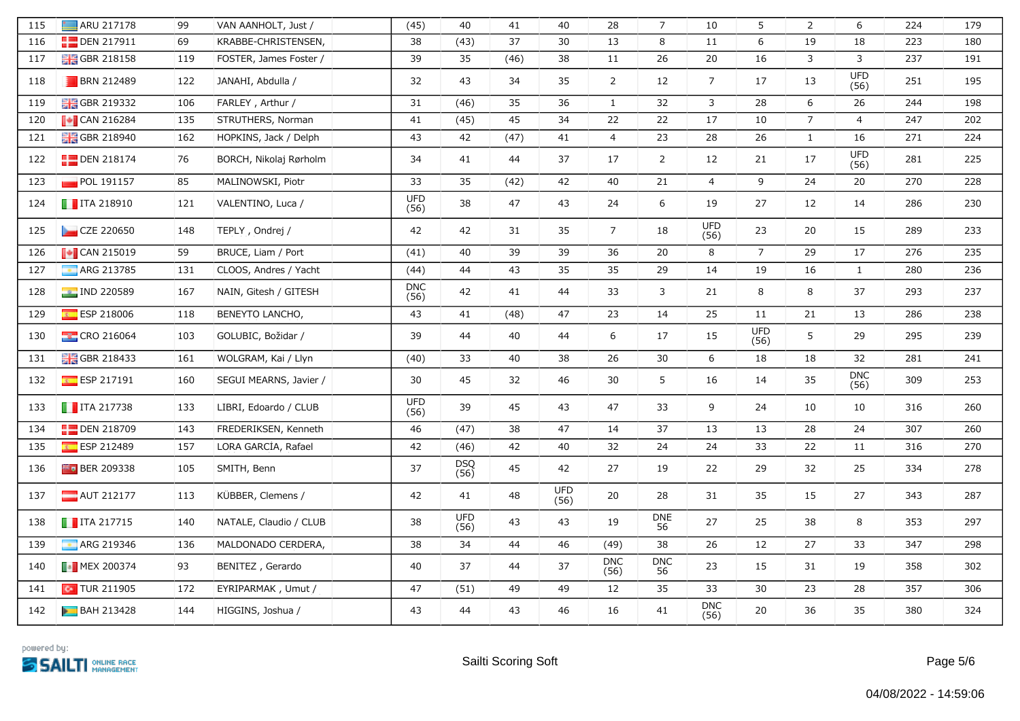| 115 | ARU 217178                                             | 99  | VAN AANHOLT, Just /    | (45)               | 40                 | 41   | 40          | 28                 | $\overline{7}$   | 10                 | 5                  | $\overline{2}$ | 6                   | 224 | 179 |
|-----|--------------------------------------------------------|-----|------------------------|--------------------|--------------------|------|-------------|--------------------|------------------|--------------------|--------------------|----------------|---------------------|-----|-----|
| 116 | <b>DEN 217911</b>                                      | 69  | KRABBE-CHRISTENSEN,    | 38                 | (43)               | 37   | 30          | 13                 | 8                | 11                 | 6                  | 19             | 18                  | 223 | 180 |
| 117 | <b>H</b> GBR 218158                                    | 119 | FOSTER, James Foster / | 39                 | 35                 | (46) | 38          | 11                 | 26               | 20                 | 16                 | 3              | 3                   | 237 | 191 |
| 118 | <b>BRN 212489</b>                                      | 122 | JANAHI, Abdulla /      | 32                 | 43                 | 34   | 35          | $\overline{2}$     | 12               | $\overline{7}$     | 17                 | 13             | <b>UFD</b><br>(56)  | 251 | 195 |
| 119 | <b>BHS</b> GBR 219332                                  | 106 | FARLEY, Arthur /       | 31                 | (46)               | 35   | 36          | $\mathbf{1}$       | 32               | $\mathbf{3}$       | 28                 | $6\,$          | 26                  | 244 | 198 |
| 120 | $\sqrt{\phantom{a}}$ CAN 216284                        | 135 | STRUTHERS, Norman      | 41                 | (45)               | 45   | 34          | 22                 | 22               | 17                 | 10                 | $\overline{7}$ | $\overline{4}$      | 247 | 202 |
| 121 | <b>H</b> GBR 218940                                    | 162 | HOPKINS, Jack / Delph  | 43                 | 42                 | (47) | 41          | $\overline{4}$     | 23               | 28                 | 26                 | $\mathbf{1}$   | 16                  | 271 | 224 |
| 122 | <b>DEN 218174</b>                                      | 76  | BORCH, Nikolaj Rørholm | 34                 | 41                 | 44   | 37          | 17                 | $\overline{2}$   | 12                 | 21                 | $17\,$         | UFD<br>(56)         | 281 | 225 |
| 123 | POL 191157                                             | 85  | MALINOWSKI, Piotr      | 33                 | 35                 | (42) | 42          | 40                 | 21               | $\overline{4}$     | 9                  | 24             | 20                  | 270 | 228 |
| 124 | $\blacksquare$ ITA 218910                              | 121 | VALENTINO, Luca /      | <b>UFD</b><br>(56) | 38                 | 47   | 43          | 24                 | 6                | 19                 | 27                 | 12             | 14                  | 286 | 230 |
| 125 | CZE 220650                                             | 148 | TEPLY, Ondrej /        | 42                 | 42                 | 31   | 35          | $\overline{7}$     | 18               | UFD<br>(56)        | 23                 | 20             | 15                  | 289 | 233 |
| 126 | $\sqrt{\phantom{a}}$ CAN 215019                        | 59  | BRUCE, Liam / Port     | (41)               | 40                 | 39   | 39          | 36                 | 20               | 8                  | $\overline{7}$     | 29             | 17                  | 276 | 235 |
| 127 | ARG 213785                                             | 131 | CLOOS, Andres / Yacht  | (44)               | 44                 | 43   | 35          | 35                 | 29               | 14                 | 19                 | 16             | $\mathbf{1}$        | 280 | 236 |
| 128 | <b>PE IND 220589</b>                                   | 167 | NAIN, Gitesh / GITESH  | <b>DNC</b><br>(56) | 42                 | 41   | 44          | 33                 | 3                | 21                 | 8                  | 8              | 37                  | 293 | 237 |
| 129 | ESP 218006                                             | 118 | BENEYTO LANCHO,        | 43                 | 41                 | (48) | 47          | 23                 | 14               | 25                 | 11                 | 21             | 13                  | 286 | 238 |
| 130 | <b>CRO 216064</b>                                      | 103 | GOLUBIC, Božidar /     | 39                 | 44                 | 40   | 44          | 6                  | 17               | 15                 | <b>UFD</b><br>(56) | 5              | 29                  | 295 | 239 |
| 131 | <b>H</b> GBR 218433                                    | 161 | WOLGRAM, Kai / Llyn    | (40)               | 33                 | 40   | 38          | 26                 | 30               | 6                  | 18                 | 18             | 32                  | 281 | 241 |
| 132 | $E = ESP 217191$                                       | 160 | SEGUI MEARNS, Javier / | 30                 | 45                 | 32   | 46          | 30                 | 5                | 16                 | 14                 | 35             | ${\sf DNC}$<br>(56) | 309 | 253 |
| 133 | $\blacksquare$ ITA 217738                              | 133 | LIBRI, Edoardo / CLUB  | <b>UFD</b><br>(56) | 39                 | 45   | 43          | 47                 | 33               | 9                  | 24                 | 10             | 10                  | 316 | 260 |
| 134 | <b>DEN 218709</b>                                      | 143 | FREDERIKSEN, Kenneth   | 46                 | (47)               | 38   | 47          | 14                 | 37               | 13                 | 13                 | 28             | 24                  | 307 | 260 |
| 135 | ESP 212489                                             | 157 | LORA GARCIA, Rafael    | 42                 | (46)               | 42   | 40          | 32                 | 24               | 24                 | 33                 | 22             | 11                  | 316 | 270 |
| 136 | <b>Fo</b> BER 209338                                   | 105 | SMITH, Benn            | 37                 | DSQ<br>(56)        | 45   | 42          | 27                 | 19               | 22                 | 29                 | 32             | 25                  | 334 | 278 |
| 137 | $\blacksquare$ AUT 212177                              | 113 | KÜBBER, Clemens /      | 42                 | 41                 | 48   | UFD<br>(56) | 20                 | 28               | 31                 | 35                 | 15             | 27                  | 343 | 287 |
| 138 | $\blacksquare$ ITA 217715                              | 140 | NATALE, Claudio / CLUB | 38                 | <b>UFD</b><br>(56) | 43   | 43          | 19                 | <b>DNE</b><br>56 | 27                 | 25                 | 38             | 8                   | 353 | 297 |
| 139 | <b>ARG 219346</b>                                      | 136 | MALDONADO CERDERA,     | 38                 | 34                 | 44   | 46          | (49)               | 38               | 26                 | 12                 | 27             | 33                  | 347 | 298 |
| 140 | $\begin{array}{ c c }\n\hline\n\end{array}$ MEX 200374 | 93  | BENÍTEZ, Gerardo       | 40                 | 37                 | 44   | 37          | <b>DNC</b><br>(56) | <b>DNC</b><br>56 | 23                 | 15                 | 31             | 19                  | 358 | 302 |
| 141 | $\sim$ TUR 211905                                      | 172 | EYRIPARMAK, Umut /     | 47                 | (51)               | 49   | 49          | 12                 | 35               | 33                 | 30                 | 23             | 28                  | 357 | 306 |
| 142 | <b>BAH 213428</b>                                      | 144 | HIGGINS, Joshua /      | 43                 | 44                 | 43   | 46          | 16                 | 41               | <b>DNC</b><br>(56) | 20                 | 36             | 35                  | 380 | 324 |

powered by: **SAILTI DALINE RACE**